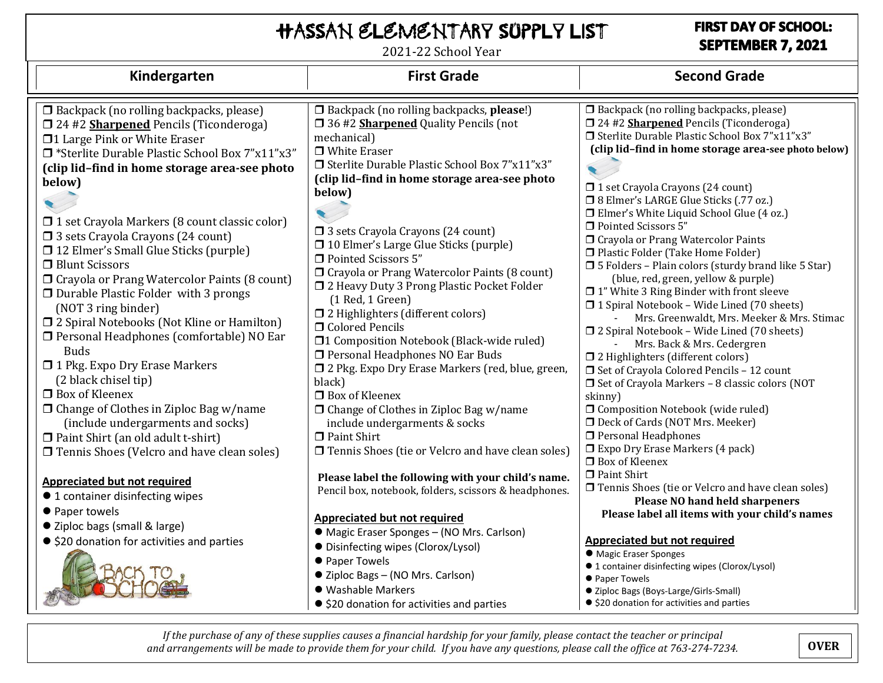# Hassan Elementary Supply List

2021-22 School Year

### **FIRST DAY OF SCHOOL:** SEPTEMBER 7, 2021

| Kindergarten                                                                                                                                                                                                                                                                                                                                                                                                                                                                                                                                                                                                                                                                                                                                                                                                                                                                                                                                                                                      | <b>First Grade</b>                                                                                                                                                                                                                                                                                                                                                                                                                                                                                                                                                                                                                                                                                                                                                                                                                                                                                                                                                                                          | <b>Second Grade</b>                                                                                                                                                                                                                                                                                                                                                                                                                                                                                                                                                                                                                                                                                                                                                                                                                                                                                                                                                                                                                                                                                                                                                                                                                                                   |
|---------------------------------------------------------------------------------------------------------------------------------------------------------------------------------------------------------------------------------------------------------------------------------------------------------------------------------------------------------------------------------------------------------------------------------------------------------------------------------------------------------------------------------------------------------------------------------------------------------------------------------------------------------------------------------------------------------------------------------------------------------------------------------------------------------------------------------------------------------------------------------------------------------------------------------------------------------------------------------------------------|-------------------------------------------------------------------------------------------------------------------------------------------------------------------------------------------------------------------------------------------------------------------------------------------------------------------------------------------------------------------------------------------------------------------------------------------------------------------------------------------------------------------------------------------------------------------------------------------------------------------------------------------------------------------------------------------------------------------------------------------------------------------------------------------------------------------------------------------------------------------------------------------------------------------------------------------------------------------------------------------------------------|-----------------------------------------------------------------------------------------------------------------------------------------------------------------------------------------------------------------------------------------------------------------------------------------------------------------------------------------------------------------------------------------------------------------------------------------------------------------------------------------------------------------------------------------------------------------------------------------------------------------------------------------------------------------------------------------------------------------------------------------------------------------------------------------------------------------------------------------------------------------------------------------------------------------------------------------------------------------------------------------------------------------------------------------------------------------------------------------------------------------------------------------------------------------------------------------------------------------------------------------------------------------------|
| $\Box$ Backpack (no rolling backpacks, please)<br><b>J</b> 24 #2 <b>Sharpened</b> Pencils (Ticonderoga)<br>□1 Large Pink or White Eraser<br>□ *Sterlite Durable Plastic School Box 7"x11"x3"<br>(clip lid-find in home storage area-see photo<br>below)<br>□ 1 set Crayola Markers (8 count classic color)<br>□ 3 sets Crayola Crayons (24 count)<br>□ 12 Elmer's Small Glue Sticks (purple)<br>□ Blunt Scissors<br>□ Crayola or Prang Watercolor Paints (8 count)<br>□ Durable Plastic Folder with 3 prongs<br>(NOT 3 ring binder)<br>□ 2 Spiral Notebooks (Not Kline or Hamilton)<br>□ Personal Headphones (comfortable) NO Ear<br><b>Buds</b><br>1 Pkg. Expo Dry Erase Markers<br>(2 black chisel tip)<br>$\Box$ Box of Kleenex<br>□ Change of Clothes in Ziploc Bag w/name<br>(include undergarments and socks)<br>□ Paint Shirt (an old adult t-shirt)<br>□ Tennis Shoes (Velcro and have clean soles)<br>Appreciated but not required<br>● 1 container disinfecting wipes<br>● Paper towels | □ Backpack (no rolling backpacks, please!)<br>□ 36 #2 <b>Sharpened</b> Quality Pencils (not<br>mechanical)<br>$\Box$ White Eraser<br>□ Sterlite Durable Plastic School Box 7"x11"x3"<br>(clip lid-find in home storage area-see photo<br>below)<br>□ 3 sets Crayola Crayons (24 count)<br>□ 10 Elmer's Large Glue Sticks (purple)<br>□ Pointed Scissors 5"<br>□ Crayola or Prang Watercolor Paints (8 count)<br>□ 2 Heavy Duty 3 Prong Plastic Pocket Folder<br>$(1$ Red, 1 Green)<br>□ 2 Highlighters (different colors)<br>$\Box$ Colored Pencils<br>□1 Composition Notebook (Black-wide ruled)<br>Personal Headphones NO Ear Buds<br>□ 2 Pkg. Expo Dry Erase Markers (red, blue, green,<br>black)<br>$\Box$ Box of Kleenex<br>$\Box$ Change of Clothes in Ziploc Bag w/name<br>include undergarments & socks<br>$\Box$ Paint Shirt<br>□ Tennis Shoes (tie or Velcro and have clean soles)<br>Please label the following with your child's name.<br>Pencil box, notebook, folders, scissors & headphones. | □ Backpack (no rolling backpacks, please)<br>[24 #2 Sharpened Pencils (Ticonderoga)<br>□ Sterlite Durable Plastic School Box 7"x11"x3"<br>(clip lid-find in home storage area-see photo below)<br>□ 1 set Crayola Crayons (24 count)<br>□ 8 Elmer's LARGE Glue Sticks (.77 oz.)<br>□ Elmer's White Liquid School Glue (4 oz.)<br>Pointed Scissors 5"<br>□ Crayola or Prang Watercolor Paints<br>□ Plastic Folder (Take Home Folder)<br>□ 5 Folders - Plain colors (sturdy brand like 5 Star)<br>(blue, red, green, yellow & purple)<br>$\Box$ 1" White 3 Ring Binder with front sleeve<br>□ 1 Spiral Notebook - Wide Lined (70 sheets)<br>Mrs. Greenwaldt, Mrs. Meeker & Mrs. Stimac<br>□ 2 Spiral Notebook - Wide Lined (70 sheets)<br>Mrs. Back & Mrs. Cedergren<br>□ 2 Highlighters (different colors)<br>□ Set of Crayola Colored Pencils - 12 count<br>□ Set of Crayola Markers - 8 classic colors (NOT<br>skinny)<br><b>O</b> Composition Notebook (wide ruled)<br>D Deck of Cards (NOT Mrs. Meeker)<br>Personal Headphones<br>Expo Dry Erase Markers (4 pack)<br>$\Box$ Box of Kleenex<br>$\Box$ Paint Shirt<br>□ Tennis Shoes (tie or Velcro and have clean soles)<br><b>Please NO hand held sharpeners</b><br>Please label all items with your child's names |
| ● Ziploc bags (small & large)<br>● \$20 donation for activities and parties                                                                                                                                                                                                                                                                                                                                                                                                                                                                                                                                                                                                                                                                                                                                                                                                                                                                                                                       | <b>Appreciated but not required</b><br>• Magic Eraser Sponges - (NO Mrs. Carlson)<br>• Disinfecting wipes (Clorox/Lysol)<br>● Paper Towels<br>● Ziploc Bags - (NO Mrs. Carlson)<br>· Washable Markers<br>● \$20 donation for activities and parties                                                                                                                                                                                                                                                                                                                                                                                                                                                                                                                                                                                                                                                                                                                                                         | Appreciated but not required<br>• Magic Eraser Sponges<br>● 1 container disinfecting wipes (Clorox/Lysol)<br>● Paper Towels<br>● Ziploc Bags (Boys-Large/Girls-Small)<br>● \$20 donation for activities and parties                                                                                                                                                                                                                                                                                                                                                                                                                                                                                                                                                                                                                                                                                                                                                                                                                                                                                                                                                                                                                                                   |

*If the purchase of any of these supplies causes a financial hardship for your family, please contact the teacher or principal and arrangements will be made to provide them for your child. If you have any questions, please call the office at 763-274-7234.* **OVER**